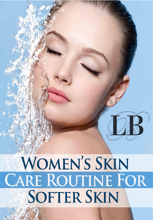# WOMEN'S SKIN CARE ROUTINE FOR **SOFTER SKIN**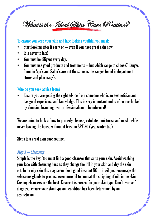What is the Ideal Skin Care Routine?

#### To ensure you keep your skin and face looking youthful you must:

- Start looking after it early on  $-$  even if you have great skin now!
- It is never to late!
- You must be diligent every day.
- You must use good products and treatments but which range to choose? Ranges found in Spa's and Salon's are not the same as the ranges found in department stores and pharmacy's.

#### Who do you seek advice from?

• Ensure you are getting the right advice from someone who is an aesthetician and has good experience and knowledge. This is very important and is often overlooked by choosing branding over professionalism – be informed!

We are going to look at how to properly cleanse, exfoliate, moisturise and mask, while never leaving the house without at least an SPF 30 (yes, winter too).

Steps to a great skin care routine.

#### Step 1 – Cleansing

Simple is the key. You must find a good cleanser that suits your skin. Avoid washing your face with cleansing bars as they change the PH in your skin and dry the skin out. In an oily skin this may seem like a good idea but  $NO - i$ t will just encourage the sebaceous glands to produce even more oil to combat the stripping of oils in the skin. Creamy cleansers are the best. Ensure it is correct for your skin type. Don't ever self diagnose, ensure your skin type and condition has been determined by an aesthetician.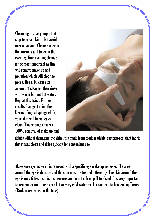Cleansing is a very important step to great skin – but avoid over cleansing. Cleanse once in the morning and twice in the evening. Your evening cleanse is the most important as this will remove make up and pollution which will clog the pores. Use a 10 cent size amount of cleanser then rinse with warm but not hot water. Repeat this twice. For best results I suggest using the Dermatological sponge cloth, your skin will be squeaky clean. This sponge ensures 100% removal of make up and



debris without damaging the skin. It is made from biodegradable bacteria-resistant fabric that rinses clean and dries quickly for convenient use.

Make sure eye make up is removed with a specific eye make up remover. The area around the eye is delicate and the skin must be treated differently. The skin around the eye is only 6 tissues thick, so ensure you do not rub or pull too hard. It is very important to remember not to use very hot or very cold water as this can lead to broken capillaries. (Broken red veins on the face)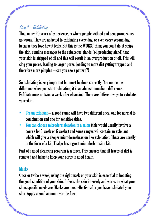## Step 2 – Exfoliating

This, in my 20 years of experience, is where people with oil and acne prone skins go wrong. They are addicted to exfoliating every day, or even every second day, because they love how it feels. But this is the WORST thing you could do, it strips the skin, sending messages to the sebaceous glands (oil producing gland) that your skin is stripped of oil and this will result in an overproduction of oil. This will clog your pores, leading to larger pores, leading to more dirt getting trapped and therefore more pimples – can you see a pattern?!

difference when you start exfoliating, it is an almost immediate difference. Exfoliate once or twice a week after cleansing. There are different ways to exfoliate your skin. So exfoliating is very important but must be done correctly. You notice the

- Cream exfoliant  $-$  a good range will have two different ones, one for normal to combination and one for sensitive skins.
- You can choose microdermabrasion in a salon (this would usually involve a course for  $1$  week or  $6$  weeks) and some ranges will contain an exfoliant which will give a deeper microdermabrasion like exfoliation. These are usually in the form of a kit, Thalgo has a great microderbarasion kit.

Part of a good cleansing program is a toner. This ensures that all traces of dirt is removed and helps to keep your pores in good health.

#### **Masks**

Once or twice a week, using the right mask on your skin is essential to boosting the good condition of your skin. It feeds the skin intensely and works on what your skins specific needs are. Masks are most effective after you have exfoliated your skin. Apply a good amount over the face.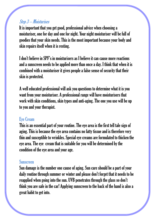#### Step 3 – Moisturises

It is important that you get good, professional advice when choosing a moisturiser, one for day and one for night. Your night moisturiser will be full of goodies that your skin needs. This is the most important because your body and skin repairs itself when it is resting.

I don't believe in SPF's in moisturisers as I believe it can cause more reactions and a sunscreen needs to be applied more than once a day. I think that when it is combined with a moisturiser it gives people a false sense of security that their skin is protected.

A well educated professional will ask you questions to determine what it is you want from your moisturiser. A professional range will have moisturisers that work with skin conditions, skin types and anti-aging. The one you use will be up to you and your therapist. The right mask on your and your therapist.

### **It feeds the skin intensel and what you skin intensely and what you show the skin intensel and what you skins in the skin intensel and what you show the skins in the skins in the skins in the skins in the skins in the ski**

This is an essential part of your routine. The eye area is the first tell tale sign of aging. This is because the eye area contains no fatty tissue and is therefore very thin and susceptible to wrinkles. Special eye creams are formulated to thicken the eye area. The eye cream that is suitable for you will be determined by the condition of the eye area and your age.

#### Sunscreen

Sun damage is the number one cause of aging. Sun care should be a part of your daily routine through summer or winter and please don't forget that it needs to be reapplied when going into the sun. UVB penetrates through the glass so don't think you are safe in the car! Applying sunscreen to the back of the hand is also a great habit to get into.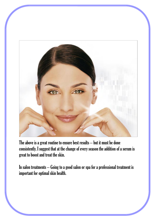

The above is a great routine to ensure best results – but it must be done consistently. I suggest that at the change of every season the addition of a serum is great to boost and treat the skin.

In salon treatments – Going to a good salon or spa for a professional treatment is important for optimal skin health.